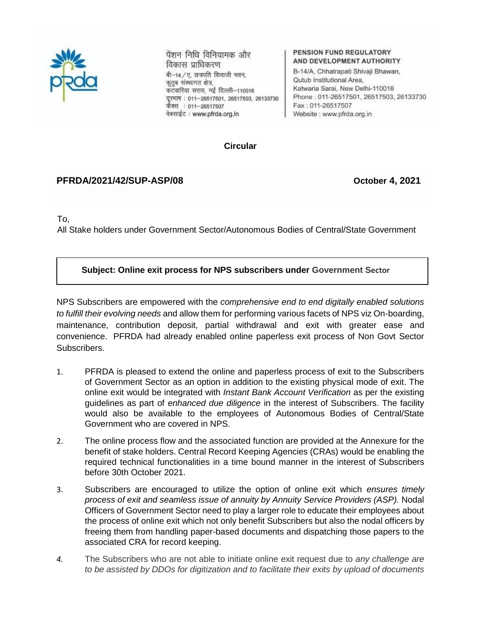

पेंशन निधि विनियामक और विकास प्राधिकरण

बी-14 / ए. छत्रपति शिवाजी भवन, कृतुब संस्थागत क्षेत्र, कटवारिया सराय, नई दिल्ली–110016 दूरभाष: 011-26517501, 26517503, 26133730 फैक्स: 011-26517507 वेबसाईट : www.pfrda.org.in

#### **PENSION FUND REGULATORY** AND DEVELOPMENT AUTHORITY

B-14/A, Chhatrapati Shivaji Bhawan, Qutub Institutional Area. Katwaria Sarai, New Delhi-110016 Phone: 011-26517501, 26517503, 26133730 Fax: 011-26517507 Website: www.pfrda.org.in

#### **Circular**

### **PFRDA/2021/42/SUP-ASP/08 October 4, 2021**

To,

All Stake holders under Government Sector/Autonomous Bodies of Central/State Government

### **Subject: Online exit process for NPS subscribers under Government Sector**

NPS Subscribers are empowered with the *comprehensive end to end digitally enabled solutions to fulfill their evolving needs* and allow them for performing various facets of NPS viz On-boarding, maintenance, contribution deposit, partial withdrawal and exit with greater ease and convenience. PFRDA had already enabled online paperless exit process of Non Govt Sector Subscribers.

- 1. PFRDA is pleased to extend the online and paperless process of exit to the Subscribers of Government Sector as an option in addition to the existing physical mode of exit. The online exit would be integrated with *Instant Bank Account Verification* as per the existing guidelines as part of *enhanced due diligence* in the interest of Subscribers. The facility would also be available to the employees of Autonomous Bodies of Central/State Government who are covered in NPS.
- 2. The online process flow and the associated function are provided at the Annexure for the benefit of stake holders. Central Record Keeping Agencies (CRAs) would be enabling the required technical functionalities in a time bound manner in the interest of Subscribers before 30th October 2021.
- 3. Subscribers are encouraged to utilize the option of online exit which *ensures timely process of exit and seamless issue of annuity by Annuity Service Providers (ASP).* Nodal Officers of Government Sector need to play a larger role to educate their employees about the process of online exit which not only benefit Subscribers but also the nodal officers by freeing them from handling paper-based documents and dispatching those papers to the associated CRA for record keeping.
- *4.* The Subscribers who are not able to initiate online exit request due to *any challenge are to be assisted by DDOs for digitization and to facilitate their exits by upload of documents*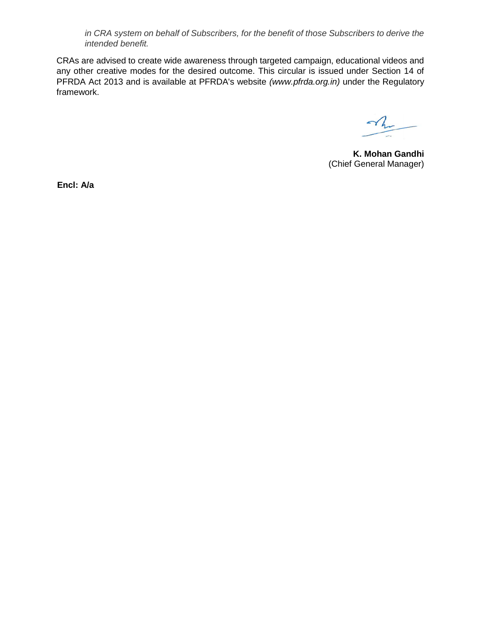*in CRA system on behalf of Subscribers, for the benefit of those Subscribers to derive the intended benefit.*

CRAs are advised to create wide awareness through targeted campaign, educational videos and any other creative modes for the desired outcome. This circular is issued under Section 14 of PFRDA Act 2013 and is available at PFRDA's website *(www.pfrda.org.in)* under the Regulatory framework.

 $\gamma$ 

**K. Mohan Gandhi** (Chief General Manager)

**Encl: A/a**